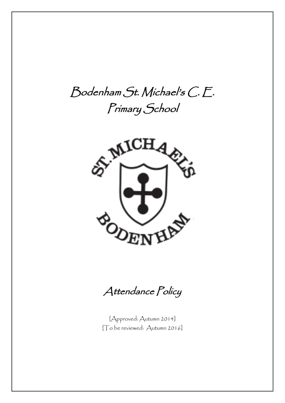# Bodenham St. Michael's C. E. Primary School



Attendance Policy

[Approved: Autumn 2014] [To be reviewed: Autumn 2016]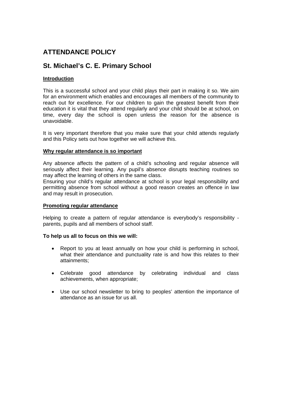# **ATTENDANCE POLICY**

# **St. Michael's C. E. Primary School**

# **Introduction**

This is a successful school and your child plays their part in making it so. We aim for an environment which enables and encourages all members of the community to reach out for excellence. For our children to gain the greatest benefit from their education it is vital that they attend regularly and your child should be at school, on time, every day the school is open unless the reason for the absence is unavoidable.

It is very important therefore that you make sure that your child attends regularly and this Policy sets out how together we will achieve this.

# **Why regular attendance is so important**

Any absence affects the pattern of a child's schooling and regular absence will seriously affect their learning. Any pupil's absence disrupts teaching routines so may affect the learning of others in the same class.

Ensuring your child's regular attendance at school is your legal responsibility and permitting absence from school without a good reason creates an offence in law and may result in prosecution.

#### **Promoting regular attendance**

Helping to create a pattern of regular attendance is everybody's responsibility parents, pupils and all members of school staff.

#### **To help us all to focus on this we will:**

- Report to you at least annually on how your child is performing in school, what their attendance and punctuality rate is and how this relates to their attainments;
- Celebrate good attendance by celebrating individual and class achievements, when appropriate;
- Use our school newsletter to bring to peoples' attention the importance of attendance as an issue for us all.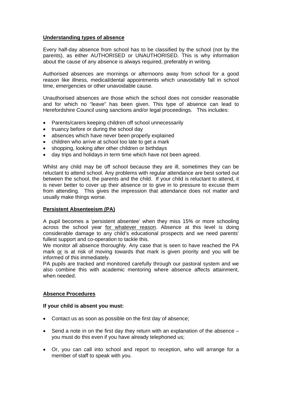# **Understanding types of absence**

Every half-day absence from school has to be classified by the school (not by the parents), as either AUTHORISED or UNAUTHORISED. This is why information about the cause of any absence is always required, preferably in writing.

Authorised absences are mornings or afternoons away from school for a good reason like illness, medical/dental appointments which unavoidably fall in school time, emergencies or other unavoidable cause.

Unauthorised absences are those which the school does not consider reasonable and for which no "leave" has been given. This type of absence can lead to Herefordshire Council using sanctions and/or legal proceedings. This includes:

- Parents/carers keeping children off school unnecessarily
- truancy before or during the school day
- absences which have never been properly explained
- children who arrive at school too late to get a mark
- shopping, looking after other children or birthdays
- day trips and holidays in term time which have not been agreed.

Whilst any child may be off school because they are ill, sometimes they can be reluctant to attend school. Any problems with regular attendance are best sorted out between the school, the parents and the child. If your child is reluctant to attend, it is never better to cover up their absence or to give in to pressure to excuse them from attending. This gives the impression that attendance does not matter and usually make things worse.

#### **Persistent Absenteeism (PA)**

A pupil becomes a 'persistent absentee' when they miss 15% or more schooling across the school year for whatever reason. Absence at this level is doing considerable damage to any child's educational prospects and we need parents' fullest support and co-operation to tackle this.

We monitor all absence thoroughly. Any case that is seen to have reached the PA mark or is at risk of moving towards that mark is given priority and you will be informed of this immediately.

PA pupils are tracked and monitored carefully through our pastoral system and we also combine this with academic mentoring where absence affects attainment, when needed.

#### **Absence Procedures**

#### **If your child is absent you must:**

- Contact us as soon as possible on the first day of absence;
- Send a note in on the first day they return with an explanation of the absence you must do this even if you have already telephoned us;
- Or, you can call into school and report to reception, who will arrange for a member of staff to speak with you.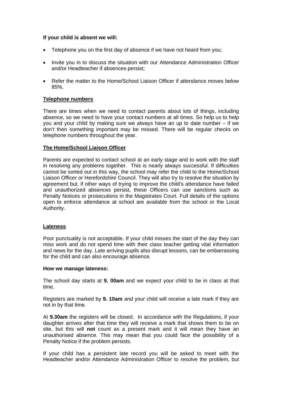# **If your child is absent we will:**

- Telephone you on the first day of absence if we have not heard from you;
- Invite you in to discuss the situation with our Attendance Administration Officer and/or Headteacher if absences persist;
- Refer the matter to the Home/School Liaison Officer if attendance moves below 85%.

# **Telephone numbers**

There are times when we need to contact parents about lots of things, including absence, so we need to have your contact numbers at all times. So help us to help you and your child by making sure we always have an up to date number – if we don't then something important may be missed. There will be regular checks on telephone numbers throughout the year.

# **The Home/School Liaison Officer**

Parents are expected to contact school at an early stage and to work with the staff in resolving any problems together. This is nearly always successful. If difficulties cannot be sorted out in this way, the school may refer the child to the Home/School Liaison Officer or Herefordshire Council. They will also try to resolve the situation by agreement but, if other ways of trying to improve the child's attendance have failed and unauthorized absences persist, these Officers can use sanctions such as Penalty Notices or prosecutions in the Magistrates Court. Full details of the options open to enforce attendance at school are available from the school or the Local Authority.

#### **Lateness**

Poor punctuality is not acceptable. If your child misses the start of the day they can miss work and do not spend time with their class teacher getting vital information and news for the day. Late arriving pupils also disrupt lessons, can be embarrassing for the child and can also encourage absence.

#### **How we manage lateness:**

The school day starts at **9. 00am** and we expect your child to be in class at that time.

Registers are marked by **9. 10am** and your child will receive a late mark if they are not in by that time.

At **9.30am** the registers will be closed. In accordance with the Regulations, if your daughter arrives after that time they will receive a mark that shows them to be on site, but this will **not** count as a present mark and it will mean they have an unauthorised absence. This may mean that you could face the possibility of a Penalty Notice if the problem persists.

If your child has a persistent late record you will be asked to meet with the Headteacher and/or Attendance Administration Officer to resolve the problem, but